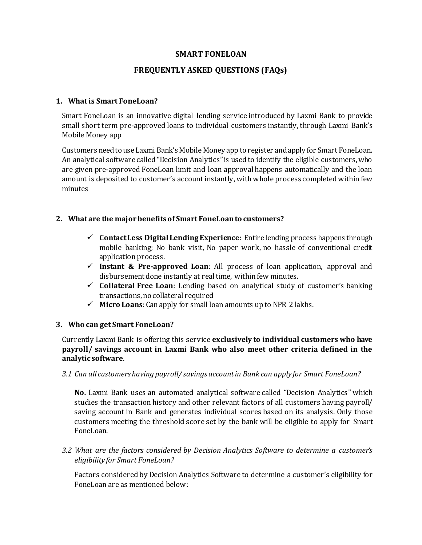#### **SMART FONELOAN**

#### **FREQUENTLY ASKED QUESTIONS (FAQs)**

#### **1. What is Smart FoneLoan?**

Smart FoneLoan is an innovative digital lending service introduced by Laxmi Bank to provide small short term pre-approved loans to individual customers instantly, through Laxmi Bank's Mobile Money app

Customers need to use Laxmi Bank's Mobile Money app to register and apply for Smart FoneLoan. An analytical software called "Decision Analytics" is used to identify the eligible customers, who are given pre-approved FoneLoan limit and loan approval happens automatically and the loan amount is deposited to customer's account instantly, with whole process completed within few minutes

#### **2. What are the major benefits of Smart FoneLoanto customers?**

- **Contact Less Digital Lending Experience**: Entire lending process happens through mobile banking; No bank visit, No paper work, no hassle of conventional credit application process.
- **Instant & Pre-approved Loan**: All process of loan application, approval and disbursement done instantly at real time, within few minutes.
- **Collateral Free Loan**: Lending based on analytical study of customer's banking transactions, no collateral required
- $\checkmark$  **Micro Loans**: Can apply for small loan amounts up to NPR 2 lakhs.

#### **3. Who can get Smart FoneLoan?**

Currently Laxmi Bank is offering this service **exclusively to individual customers who have payroll/ savings account in Laxmi Bank who also meet other criteria defined in the analytic software**.

*3.1 Can all customers having payroll/ savings account in Bank can apply for Smart FoneLoan?*

**No.** Laxmi Bank uses an automated analytical software called "Decision Analytics" which studies the transaction history and other relevant factors of all customers having payroll/ saving account in Bank and generates individual scores based on its analysis. Only those customers meeting the threshold score set by the bank will be eligible to apply for Smart FoneLoan.

*3.2 What are the factors considered by Decision Analytics Software to determine a customer's eligibility for Smart FoneLoan?*

Factors considered by Decision Analytics Software to determine a customer's eligibility for FoneLoan are as mentioned below: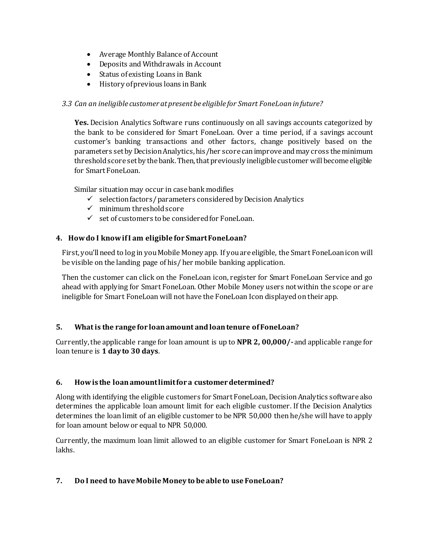- Average Monthly Balance of Account
- Deposits and Withdrawals in Account
- Status of existing Loans in Bank
- History of previous loans in Bank

## *3.3 Can an ineligible customer at presentbe eligible for Smart FoneLoan in future?*

**Yes.** Decision Analytics Software runs continuously on all savings accounts categorized by the bank to be considered for Smart FoneLoan. Over a time period, if a savings account customer's banking transactions and other factors, change positively based on the parameters set by Decision Analytics, his/her score can improve and may cross the minimum threshold score set by the bank. Then, that previously ineligible customer will become eligible for Smart FoneLoan.

Similar situation may occur in case bank modifies

- $\checkmark$  selection factors/parameters considered by Decision Analytics
- $\checkmark$  minimum threshold score
- $\checkmark$  set of customers to be considered for FoneLoan.

## **4. How do I know if I am eligible for Smart FoneLoan?**

First, you'll need to log in you Mobile Money app. If you are eligible, the Smart FoneLoanicon will be visible on the landing page of his/ her mobile banking application.

Then the customer can click on the FoneLoan icon, register for Smart FoneLoan Service and go ahead with applying for Smart FoneLoan. Other Mobile Money users not within the scope or are ineligible for Smart FoneLoan will not have the FoneLoan Icon displayed on their app.

## **5. What is the range for loan amount and loan tenure of FoneLoan?**

Currently, the applicable range for loan amount is up to **NPR 2, 00,000/-** and applicable range for loan tenure is **1 day to 30 days**.

## **6. How is the loan amount limit for a customer determined?**

Along with identifying the eligible customers for Smart FoneLoan, Decision Analytics software also determines the applicable loan amount limit for each eligible customer. If the Decision Analytics determines the loan limit of an eligible customer to be NPR 50,000 then he/she will have to apply for loan amount below or equal to NPR 50,000.

Currently, the maximum loan limit allowed to an eligible customer for Smart FoneLoan is NPR 2 lakhs.

## **7. Do I need to have Mobile Money to be able to use FoneLoan?**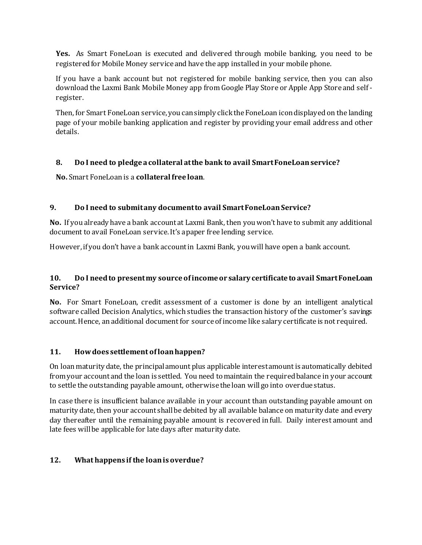**Yes.** As Smart FoneLoan is executed and delivered through mobile banking, you need to be registered for Mobile Money service and have the app installed in your mobile phone.

If you have a bank account but not registered for mobile banking service, then you can also download the Laxmi Bank Mobile Money app from Google Play Store or Apple App Store and self register.

Then, for Smart FoneLoan service, you can simply click the FoneLoan icon displayed on the landing page of your mobile banking application and register by providing your email address and other details.

# **8. Do I need to pledge a collateral at the bank to avail Smart FoneLoanservice?**

**No.** Smart FoneLoan is a **collateral free loan**.

# **9. Do I need to submit any document to avail SmartFoneLoanService?**

**No.** If you already have a bank account at Laxmi Bank, then you won't have to submit any additional document to avail FoneLoan service. It's a paper free lending service.

However, if you don't have a bank account in Laxmi Bank, you will have open a bank account.

# **10. Do I need to present my source of income or salary certificate to avail Smart FoneLoan Service?**

**No.** For Smart FoneLoan, credit assessment of a customer is done by an intelligent analytical software called Decision Analytics, which studies the transaction history of the customer's savings account. Hence, an additional document for source of income like salary certificate is not required.

# **11. How does settlement of loan happen?**

On loan maturity date, the principal amount plus applicable interest amount is automatically debited from your account and the loan is settled. You need to maintain the required balance in your account to settle the outstanding payable amount, otherwise the loan will go into overdue status.

In case there is insufficient balance available in your account than outstanding payable amount on maturity date, then your account shall be debited by all available balance on maturity date and every day thereafter until the remaining payable amount is recovered in full. Daily interest amount and late fees will be applicable for late days after maturity date.

# **12. What happens if the loan is overdue?**